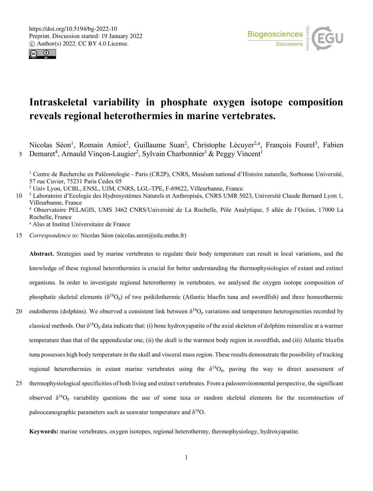



# **Intraskeletal variability in phosphate oxygen isotope composition reveals regional heterothermies in marine vertebrates.**

Nicolas Séon<sup>1</sup>, Romain Amiot<sup>2</sup>, Guillaume Suan<sup>2</sup>, Christophe Lécuyer<sup>2,a</sup>, François Fourel<sup>3</sup>, Fabien Demaret<sup>4</sup>, Arnauld Vinçon-Laugier<sup>2</sup>, Sylvain Charbonnier<sup>1</sup> & Peggy Vincent<sup>1</sup> 5

<sup>1</sup> Centre de Recherche en Paléontologie - Paris (CR2P), CNRS, Muséum national d'Histoire naturelle, Sorbonne Université, 57 rue Cuvier, 75231 Paris Cedex 05

<sup>2</sup> Univ Lyon, UCBL, ENSL, UJM, CNRS, LGL-TPE, F-69622, Villeurbanne, France.

10<sup>3</sup> Laboratoire d'Ecologie des Hydrosystèmes Naturels et Anthropisés, CNRS UMR 5023, Université Claude Bernard Lyon 1, Villeurbanne, France <sup>4</sup> Observatoire PELAGIS, UMS 3462 CNRS/Université de La Rochelle, Pôle Analytique, 5 allée de l'Océan, 17000 La Rochelle, France

<sup>a</sup> Also at Institut Universitaire de France

15 *Correspondence to*: Nicolas Séon (nicolas.seon@edu.mnhn.fr)

**Abstract.** Strategies used by marine vertebrates to regulate their body temperature can result in local variations, and the knowledge of these regional heterothermies is crucial for better understanding the thermophysiologies of extant and extinct organisms. In order to investigate regional heterothermy in vertebrates, we analysed the oxygen isotope composition of phosphatic skeletal elements ( $\delta^{18}O_p$ ) of two poikilothermic (Atlantic bluefin tuna and swordfish) and three homeothermic

- 20 endotherms (dolphins). We observed a consistent link between  $\delta^{18}O_p$  variations and temperature heterogeneities recorded by classical methods. Our  $\delta^{18}O_p$  data indicate that: (i) bone hydroxyapatite of the axial skeleton of dolphins mineralize at a warmer temperature than that of the appendicular one, (ii) the skull is the warmest body region in swordfish, and (iii) Atlantic bluefin tuna possesses high body temperature in the skull and visceral mass region. These results demonstrate the possibility of tracking regional heterothermies in extant marine vertebrates using the  $\delta^{18}O_p$ , paving the way to direct assessment of
- 25 thermophysiological specificities of both living and extinct vertebrates. From a paleoenvironmental perspective, the significant observed  $\delta^{18}O_p$  variability questions the use of some taxa or random skeletal elements for the reconstruction of paleoceanographic parameters such as seawater temperature and  $\delta^{18}O$ .

**Keywords:** marine vertebrates, oxygen isotopes, regional heterothermy, thermophysiology, hydroxyapatite.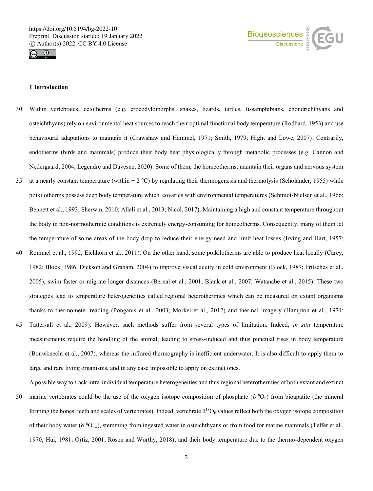



# **1 Introduction**

- 30 Within vertebrates, ectotherms (e.g. crocodylomorphs, snakes, lizards, turtles, lissamphibians, chondrichthyans and osteichthyans) rely on environmental heat sources to reach their optimal functional body temperature (Rodbard, 1953) and use behavioural adaptations to maintain it (Crawshaw and Hammel, 1971; Smith, 1979; Hight and Lowe, 2007). Contrarily, endotherms (birds and mammals) produce their body heat physiologically through metabolic processes (e.g. Cannon and Nedergaard, 2004; Legendre and Davesne, 2020). Some of them, the homeotherms, maintain their organs and nervous system
- 35 at a nearly constant temperature (within  $\pm 2^{\circ}$ C) by regulating their thermogenesis and thermolysis (Scholander, 1955) while poikilotherms possess deep body temperature which covaries with environmental temperatures (Schmidt-Nielsen et al., 1966; Bennett et al., 1993; Sherwin, 2010; Allali et al., 2013; Nicol, 2017). Maintaining a high and constant temperature throughout the body in non-normothermic conditions is extremely energy-consuming for homeotherms. Consequently, many of them let the temperature of some areas of the body drop to reduce their energy need and limit heat losses (Irving and Hart, 1957;
- 40 Rommel et al., 1992; Eichhorn et al., 2011). On the other hand, some poikilotherms are able to produce heat locally (Carey, 1982; Block, 1986; Dickson and Graham, 2004) to improve visual acuity in cold environment (Block, 1987; Fritsches et al., 2005), swim faster or migrate longer distances (Bernal et al., 2001; Blank et al., 2007; Watanabe et al., 2015). These two strategies lead to temperature heterogeneities called regional heterothermies which can be measured on extant organisms thanks to thermometer reading (Ponganis et al., 2003; Morkel et al., 2012) and thermal imagery (Hampton et al., 1971;
- 45 Tattersall et al., 2009). However, such methods suffer from several types of limitation. Indeed, *in situ* temperature measurements require the handling of the animal, leading to stress-induced and thus punctual rises in body temperature (Bouwknecht et al., 2007), whereas the infrared thermography is inefficient underwater. It is also difficult to apply them to large and rare living organisms, and in any case impossible to apply on extinct ones.

A possible way to track intra-individual temperature heterogeneities and thus regional heterothermies of both extant and extinct

50 marine vertebrates could be the use of the oxygen isotope composition of phosphate ( $\delta^{18}O_p$ ) from bioapatite (the mineral forming the bones, teeth and scales of vertebrates). Indeed, vertebrate  $\delta^{18}O_p$  values reflect both the oxygen isotope composition of their body water ( $\delta^{18}O_{bw}$ ), stemming from ingested water in osteichthyans or from food for marine mammals (Telfer et al., 1970; Hui, 1981; Ortiz, 2001; Rosen and Worthy, 2018), and their body temperature due to the thermo-dependent oxygen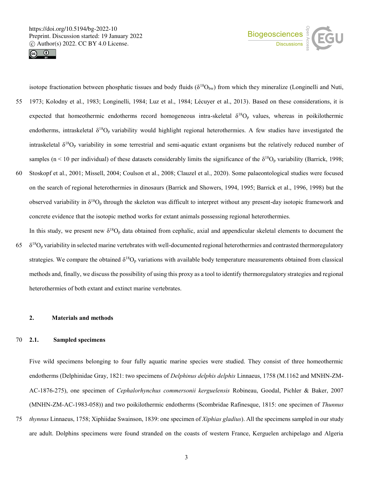



isotope fractionation between phosphatic tissues and body fluids ( $\delta^{18}O_{bw}$ ) from which they mineralize (Longinelli and Nuti, 55 1973; Kolodny et al., 1983; Longinelli, 1984; Luz et al., 1984; Lécuyer et al., 2013). Based on these considerations, it is expected that homeothermic endotherms record homogeneous intra-skeletal  $\delta^{18}O_p$  values, whereas in poikilothermic endotherms, intraskeletal  $\delta^{18}O_p$  variability would highlight regional heterothermies. A few studies have investigated the intraskeletal  $\delta^{18}O_p$  variability in some terrestrial and semi-aquatic extant organisms but the relatively reduced number of samples (n < 10 per individual) of these datasets considerably limits the significance of the  $\delta^{18}O_p$  variability (Barrick, 1998; 60 Stoskopf et al., 2001; Missell, 2004; Coulson et al., 2008; Clauzel et al., 2020). Some palaeontological studies were focused on the search of regional heterothermies in dinosaurs (Barrick and Showers, 1994, 1995; Barrick et al., 1996, 1998) but the observed variability in  $\delta^{18}O_p$  through the skeleton was difficult to interpret without any present-day isotopic framework and concrete evidence that the isotopic method works for extant animals possessing regional heterothermies.

In this study, we present new  $\delta^{18}O_p$  data obtained from cephalic, axial and appendicular skeletal elements to document the  $\delta^{18}$ O<sub>p</sub> variability in selected marine vertebrates with well-documented regional heterothermies and contrasted thermoregulatory strategies. We compare the obtained  $\delta^{18}O_p$  variations with available body temperature measurements obtained from classical methods and, finally, we discuss the possibility of using this proxy as a tool to identify thermoregulatory strategies and regional heterothermies of both extant and extinct marine vertebrates.

# **2. Materials and methods**

# 70 **2.1. Sampled specimens**

Five wild specimens belonging to four fully aquatic marine species were studied. They consist of three homeothermic endotherms (Delphinidae Gray, 1821: two specimens of *Delphinus delphis delphis* Linnaeus, 1758 (M.1162 and MNHN-ZM-AC-1876-275), one specimen of *Cephalorhynchus commersonii kerguelensis* Robineau, Goodal, Pichler & Baker, 2007 (MNHN-ZM-AC-1983-058)) and two poikilothermic endotherms (Scombridae Rafinesque, 1815: one specimen of *Thunnus* 

75 *thynnus* Linnaeus, 1758; Xiphiidae Swainson, 1839: one specimen of *Xiphias gladius*). All the specimens sampled in our study are adult. Dolphins specimens were found stranded on the coasts of western France, Kerguelen archipelago and Algeria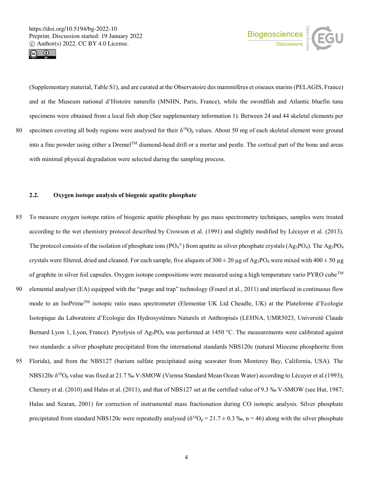



(Supplementary material, Table S1), and are curated at the Observatoire des mammifères et oiseaux marins (PELAGIS, France) and at the Museum national d'Histoire naturelle (MNHN, Paris, France), while the swordfish and Atlantic bluefin tuna specimens were obtained from a local fish shop (See supplementary information 1). Between 24 and 44 skeletal elements per 80 specimen covering all body regions were analysed for their  $\delta^{18}O_p$  values. About 50 mg of each skeletal element were ground into a fine powder using either a Dremel<sup>TM</sup> diamond-head drill or a mortar and pestle. The cortical part of the bone and areas with minimal physical degradation were selected during the sampling process.

# **2.2. Oxygen isotope analysis of biogenic apatite phosphate**

- 85 To measure oxygen isotope ratios of biogenic apatite phosphate by gas mass spectrometry techniques, samples were treated according to the wet chemistry protocol described by Crowson et al. (1991) and slightly modified by Lécuyer et al. (2013). The protocol consists of the isolation of phosphate ions (PO<sub>4</sub><sup>3-</sup>) from apatite as silver phosphate crystals (Ag<sub>3</sub>PO<sub>4</sub>). The Ag<sub>3</sub>PO<sub>4</sub> crystals were filtered, dried and cleaned. For each sample, five aliquots of  $300 \pm 20 \,\mu$ g of Ag<sub>3</sub>PO<sub>4</sub> were mixed with  $400 \pm 50 \,\mu$ g of graphite in silver foil capsules. Oxygen isotope compositions were measured using a high temperature vario PYRO cubeTM
- 90 elemental analyser (EA) equipped with the "purge and trap" technology (Fourel et al., 2011) and interfaced in continuous flow mode to an IsoPrimeTM isotopic ratio mass spectrometer (Elementar UK Ltd Cheadle, UK) at the Plateforme d'Ecologie Isotopique du Laboratoire d'Ecologie des Hydrosystèmes Naturels et Anthropisés (LEHNA, UMR5023, Université Claude Bernard Lyon 1, Lyon, France). Pyrolysis of Ag<sub>3</sub>PO<sub>4</sub> was performed at 1450 °C. The measurements were calibrated against two standards: a silver phosphate precipitated from the international standards NBS120c (natural Miocene phosphorite from
- 95 Florida), and from the NBS127 (barium sulfate precipitated using seawater from Monterey Bay, California, USA). The NBS120c δ<sup>18</sup>O<sup>p</sup> value was fixed at 21.7 ‰ V-SMOW (Vienna Standard Mean Ocean Water) according to Lécuyer et al.(1993), Chenery et al. (2010) and Halas et al. (2011), and that of NBS127 set at the certified value of 9.3 ‰ V-SMOW (see Hut, 1987; Halas and Szaran, 2001) for correction of instrumental mass fractionation during CO isotopic analysis. Silver phosphate precipitated from standard NBS120c were repeatedly analysed ( $\delta^{18}O_p = 21.7 \pm 0.3$  ‰, n = 46) along with the silver phosphate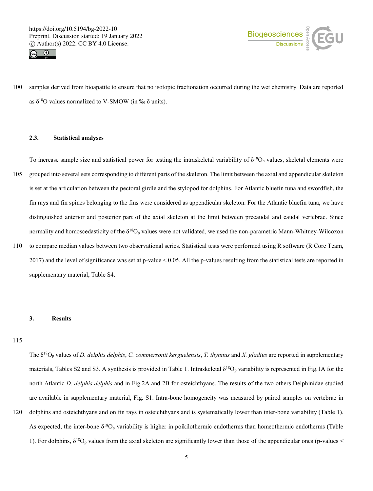



100 samples derived from bioapatite to ensure that no isotopic fractionation occurred during the wet chemistry. Data are reported as  $\delta^{18}$ O values normalized to V-SMOW (in ‰  $\delta$  units).

# **2.3. Statistical analyses**

To increase sample size and statistical power for testing the intraskeletal variability of  $\delta^{18}O_p$  values, skeletal elements were 105 grouped into several sets corresponding to different parts of the skeleton. The limit between the axial and appendicular skeleton is set at the articulation between the pectoral girdle and the stylopod for dolphins. For Atlantic bluefin tuna and swordfish, the fin rays and fin spines belonging to the fins were considered as appendicular skeleton. For the Atlantic bluefin tuna, we have distinguished anterior and posterior part of the axial skeleton at the limit between precaudal and caudal vertebrae. Since normality and homoscedasticity of the  $\delta^{18}O_p$  values were not validated, we used the non-parametric Mann-Whitney-Wilcoxon

110 to compare median values between two observational series. Statistical tests were performed using R software (R Core Team, 2017) and the level of significance was set at p-value < 0.05. All the p-values resulting from the statistical tests are reported in supplementary material, Table S4.

#### **3. Results**

115

The δ<sup>18</sup>O<sup>p</sup> values of *D. delphis delphis*, *C. commersonii kerguelensis*, *T. thynnus* and *X. gladius* are reported in supplementary materials, Tables S2 and S3. A synthesis is provided in Table 1. Intraskeletal  $\delta^{18}O_p$  variability is represented in Fig.1A for the north Atlantic *D. delphis delphis* and in Fig.2A and 2B for osteichthyans. The results of the two others Delphinidae studied are available in supplementary material, Fig. S1. Intra-bone homogeneity was measured by paired samples on vertebrae in 120 dolphins and osteichthyans and on fin rays in osteichthyans and is systematically lower than inter-bone variability (Table 1). As expected, the inter-bone  $\delta^{18}O_p$  variability is higher in poikilothermic endotherms than homeothermic endotherms (Table 1). For dolphins,  $\delta^{18}O_p$  values from the axial skeleton are significantly lower than those of the appendicular ones (p-values <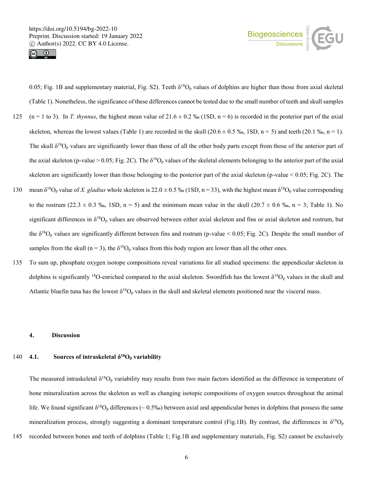



0.05; Fig. 1B and supplementary material, Fig. S2). Teeth  $\delta^{18}O_p$  values of dolphins are higher than those from axial skeletal (Table 1). Nonetheless, the significance of these differences cannot be tested due to the small number of teeth and skull samples 125 (n = 1 to 3). In *T. thynnus*, the highest mean value of  $21.6 \pm 0.2$  % (1SD, n = 6) is recorded in the posterior part of the axial skeleton, whereas the lowest values (Table 1) are recorded in the skull  $(20.6 \pm 0.5 \%, 1SD, n = 5)$  and teeth  $(20.1 \%, n = 1)$ . The skull  $\delta^{18}O_p$  values are significantly lower than those of all the other body parts except from those of the anterior part of the axial skeleton (p-value > 0.05; Fig. 2C). The  $\delta^{18}O_p$  values of the skeletal elements belonging to the anterior part of the axial skeleton are significantly lower than those belonging to the posterior part of the axial skeleton (p-value < 0.05; Fig. 2C). The 130 mean  $\delta^{18}O_p$  value of *X. gladius* whole skeleton is 22.0  $\pm$  0.5 ‰ (1SD, n = 33), with the highest mean  $\delta^{18}O_p$  value corresponding

- to the rostrum (22.3  $\pm$  0.3 ‰, 1SD, n = 5) and the minimum mean value in the skull (20.7  $\pm$  0.6 ‰, n = 3; Table 1). No significant differences in  $\delta^{18}O_p$  values are observed between either axial skeleton and fins or axial skeleton and rostrum, but the  $\delta^{18}O_p$  values are significantly different between fins and rostrum (p-value < 0.05; Fig. 2C). Despite the small number of samples from the skull (n = 3), the  $\delta^{18}O_p$  values from this body region are lower than all the other ones.
- 135 To sum up, phosphate oxygen isotope compositions reveal variations for all studied specimens: the appendicular skeleton in dolphins is significantly <sup>18</sup>O-enriched compared to the axial skeleton. Swordfish has the lowest  $\delta^{18}O_p$  values in the skull and Atlantic bluefin tuna has the lowest  $\delta^{18}O_p$  values in the skull and skeletal elements positioned near the visceral mass.

#### **4. Discussion**

# 140 **4.1. Sources of intraskeletal**  $\delta^{18}O_p$  **variability**

The measured intraskeletal  $\delta^{18}O_p$  variability may results from two main factors identified as the difference in temperature of bone mineralization across the skeleton as well as changing isotopic compositions of oxygen sources throughout the animal life. We found significant  $\delta^{18}O_p$  differences ( $\sim 0.5\%$ ) between axial and appendicular bones in dolphins that possess the same mineralization process, strongly suggesting a dominant temperature control (Fig.1B). By contrast, the differences in  $\delta^{18}O_p$ 

145 recorded between bones and teeth of dolphins (Table 1; Fig.1B and supplementary materials, Fig. S2) cannot be exclusively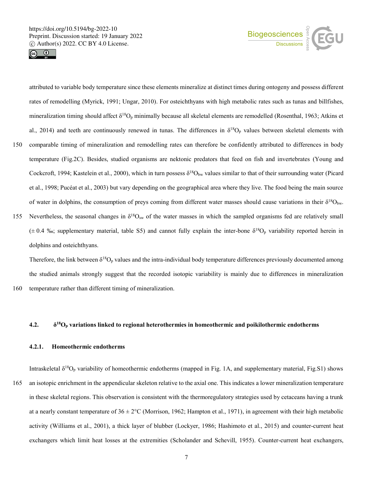



attributed to variable body temperature since these elements mineralize at distinct times during ontogeny and possess different rates of remodelling (Myrick, 1991; Ungar, 2010). For osteichthyans with high metabolic rates such as tunas and billfishes, mineralization timing should affect  $\delta^{18}O_p$  minimally because all skeletal elements are remodelled (Rosenthal, 1963; Atkins et al., 2014) and teeth are continuously renewed in tunas. The differences in  $\delta^{18}O_p$  values between skeletal elements with

- 150 comparable timing of mineralization and remodelling rates can therefore be confidently attributed to differences in body temperature (Fig.2C). Besides, studied organisms are nektonic predators that feed on fish and invertebrates (Young and Cockcroft, 1994; Kastelein et al., 2000), which in turn possess  $\delta^{18}O_{bw}$  values similar to that of their surrounding water (Picard et al., 1998; Pucéat et al., 2003) but vary depending on the geographical area where they live. The food being the main source of water in dolphins, the consumption of preys coming from different water masses should cause variations in their  $\delta^{18}O_{bw}$ .
- 155 Nevertheless, the seasonal changes in  $\delta^{18}O_{sw}$  of the water masses in which the sampled organisms fed are relatively small  $(± 0.4 %$ ; supplementary material, table S5) and cannot fully explain the inter-bone  $\delta^{18}O_p$  variability reported herein in dolphins and osteichthyans.

Therefore, the link between  $\delta^{18}O_p$  values and the intra-individual body temperature differences previously documented among the studied animals strongly suggest that the recorded isotopic variability is mainly due to differences in mineralization 160 temperature rather than different timing of mineralization.

#### **4.2. δ <sup>18</sup>O<sup>p</sup> variations linked to regional heterothermies in homeothermic and poikilothermic endotherms**

#### **4.2.1. Homeothermic endotherms**

Intraskeletal  $\delta^{18}O_p$  variability of homeothermic endotherms (mapped in Fig. 1A, and supplementary material, Fig.S1) shows 165 an isotopic enrichment in the appendicular skeleton relative to the axial one. This indicates a lower mineralization temperature in these skeletal regions. This observation is consistent with the thermoregulatory strategies used by cetaceans having a trunk at a nearly constant temperature of  $36 \pm 2^{\circ}$ C (Morrison, 1962; Hampton et al., 1971), in agreement with their high metabolic activity (Williams et al., 2001), a thick layer of blubber (Lockyer, 1986; Hashimoto et al., 2015) and counter-current heat exchangers which limit heat losses at the extremities (Scholander and Schevill, 1955). Counter-current heat exchangers,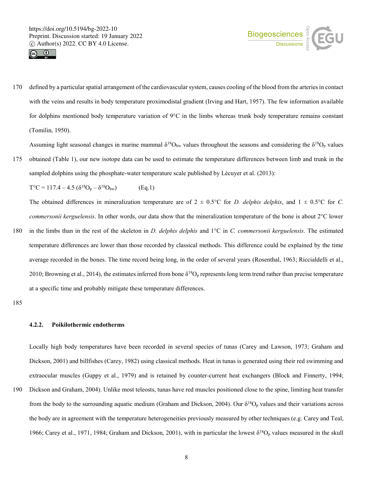



170 defined by a particular spatial arrangement of the cardiovascular system, causes cooling of the blood from the arteries in contact with the veins and results in body temperature proximodistal gradient (Irving and Hart, 1957). The few information available for dolphins mentioned body temperature variation of 9°C in the limbs whereas trunk body temperature remains constant (Tomilin, 1950).

Assuming light seasonal changes in marine mammal  $\delta^{18}O_{bw}$  values throughout the seasons and considering the  $\delta^{18}O_p$  values

175 obtained (Table 1), our new isotope data can be used to estimate the temperature differences between limb and trunk in the sampled dolphins using the phosphate-water temperature scale published by Lécuyer et al. (2013):

 $T^{\circ}C = 117.4 - 4.5 \left( \delta^{18}O_p - \delta^{18}O_{bw} \right)$  (Eq.1)

The obtained differences in mineralization temperature are of  $2 \pm 0.5^{\circ}\text{C}$  for *D. delphis delphis*, and  $1 \pm 0.5^{\circ}\text{C}$  for *C. commersonii kerguelensis*. In other words, our data show that the mineralization temperature of the bone is about 2°C lower

180 in the limbs than in the rest of the skeleton in *D. delphis delphis* and 1°C in *C. commersonii kerguelensis*. The estimated temperature differences are lower than those recorded by classical methods. This difference could be explained by the time average recorded in the bones. The time record being long, in the order of several years (Rosenthal, 1963; Riccialdelli et al., 2010; Browning et al., 2014), the estimates inferred from bone  $\delta^{18}O_p$  represents long term trend rather than precise temperature at a specific time and probably mitigate these temperature differences.

185

# **4.2.2. Poikilothermic endotherms**

Locally high body temperatures have been recorded in several species of tunas (Carey and Lawson, 1973; Graham and Dickson, 2001) and billfishes (Carey, 1982) using classical methods. Heat in tunas is generated using their red swimming and extraocular muscles (Guppy et al., 1979) and is retained by counter-current heat exchangers (Block and Finnerty, 1994;

190 Dickson and Graham, 2004). Unlike most teleosts, tunas have red muscles positioned close to the spine, limiting heat transfer from the body to the surrounding aquatic medium (Graham and Dickson, 2004). Our  $\delta^{18}O_p$  values and their variations across the body are in agreement with the temperature heterogeneities previously measured by other techniques (e.g. Carey and Teal, 1966; Carey et al., 1971, 1984; Graham and Dickson, 2001), with in particular the lowest  $\delta^{18}O_p$  values measured in the skull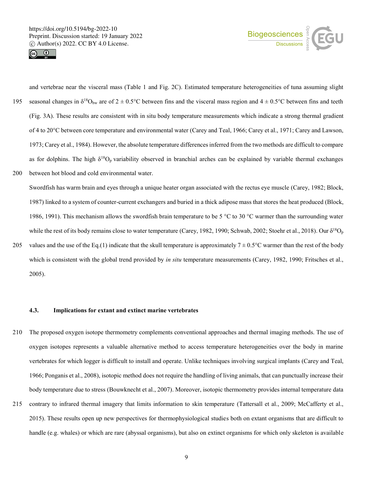



and vertebrae near the visceral mass (Table 1 and Fig. 2C). Estimated temperature heterogeneities of tuna assuming slight 195 seasonal changes in  $\delta^{18}O_{bw}$  are of  $2 \pm 0.5^{\circ}C$  between fins and the visceral mass region and  $4 \pm 0.5^{\circ}C$  between fins and teeth (Fig. 3A). These results are consistent with in situ body temperature measurements which indicate a strong thermal gradient of 4 to 20°C between core temperature and environmental water (Carey and Teal, 1966; Carey et al., 1971; Carey and Lawson, 1973; Carey et al., 1984). However, the absolute temperature differences inferred from the two methods are difficult to compare as for dolphins. The high  $\delta^{18}O_p$  variability observed in branchial arches can be explained by variable thermal exchanges 200 between hot blood and cold environmental water.

Swordfish has warm brain and eyes through a unique heater organ associated with the rectus eye muscle (Carey, 1982; Block, 1987) linked to a system of counter-current exchangers and buried in a thick adipose mass that stores the heat produced (Block, 1986, 1991). This mechanism allows the swordfish brain temperature to be 5 °C to 30 °C warmer than the surrounding water while the rest of its body remains close to water temperature (Carey, 1982, 1990; Schwab, 2002; Stoehr et al., 2018). Our  $\delta^{18}O_p$ 

205 values and the use of the Eq.(1) indicate that the skull temperature is approximately  $7 \pm 0.5$ °C warmer than the rest of the body which is consistent with the global trend provided by *in situ* temperature measurements (Carey, 1982, 1990; Fritsches et al., 2005).

# **4.3. Implications for extant and extinct marine vertebrates**

- 210 The proposed oxygen isotope thermometry complements conventional approaches and thermal imaging methods. The use of oxygen isotopes represents a valuable alternative method to access temperature heterogeneities over the body in marine vertebrates for which logger is difficult to install and operate. Unlike techniques involving surgical implants (Carey and Teal, 1966; Ponganis et al., 2008), isotopic method does not require the handling of living animals, that can punctually increase their body temperature due to stress (Bouwknecht et al., 2007). Moreover, isotopic thermometry provides internal temperature data
- 215 contrary to infrared thermal imagery that limits information to skin temperature (Tattersall et al., 2009; McCafferty et al., 2015). These results open up new perspectives for thermophysiological studies both on extant organisms that are difficult to handle (e.g. whales) or which are rare (abyssal organisms), but also on extinct organisms for which only skeleton is available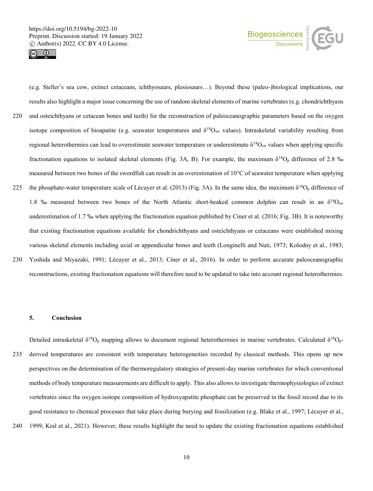



(e.g. Steller's sea cow, extinct cetaceans, ichthyosaurs, plesiosaurs…). Beyond these (paleo-)biological implications, our results also highlight a major issue concerning the use of random skeletal elements of marine vertebrates (e.g. chondrichthyans 220 and osteichthyans or cetacean bones and teeth) for the reconstruction of paleoceanographic parameters based on the oxygen isotope composition of bioapatite (e.g. seawater temperatures and  $\delta^{18}O_{sw}$  values). Intraskeletal variability resulting from regional heterothermies can lead to overestimate seawater temperature or underestimate δ<sup>18</sup>O<sub>sw</sub> values when applying specific fractionation equations to isolated skeletal elements (Fig. 3A, B). For example, the maximum  $\delta^{18}O_p$  difference of 2.8 ‰ measured between two bones of the swordfish can result in an overestimation of 10°C of seawater temperature when applying 225 the phosphate-water temperature scale of Lécuyer et al. (2013) (Fig. 3A). In the same idea, the maximum  $\delta^{18}O_p$  difference of 1.8 % measured between two bones of the North Atlantic short-beaked common dolphin can result in an  $\delta^{18}O_{sw}$ underestimation of 1.7 ‰ when applying the fractionation equation published by Ciner et al. (2016; Fig. 3B). It is noteworthy that existing fractionation equations available for chondrichthyans and osteichthyans or cetaceans were established mixing various skeletal elements including axial or appendicular bones and teeth (Longinelli and Nuti, 1973; Kolodny et al., 1983; 230 Yoshida and Miyazaki, 1991; Lécuyer et al., 2013; Ciner et al., 2016). In order to perform accurate paleoceanographic reconstructions, existing fractionation equations will therefore need to be updated to take into account regional heterothermies.

# **5. Conclusion**

Detailed intraskeletal  $\delta^{18}O_p$  mapping allows to document regional heterothermies in marine vertebrates. Calculated  $\delta^{18}O_p$ -235 derived temperatures are consistent with temperature heterogeneities recorded by classical methods. This opens up new perspectives on the determination of the thermoregulatory strategies of present-day marine vertebrates for which conventional methods of body temperature measurements are difficult to apply. This also allows to investigate thermophysiologies of extinct vertebrates since the oxygen isotope composition of hydroxyapatite phosphate can be preserved in the fossil record due to its good resistance to chemical processes that take place during burying and fossilization (e.g. Blake et al., 1997; Lécuyer et al., 240 1999; Kral et al., 2021). However, these results highlight the need to update the existing fractionation equations established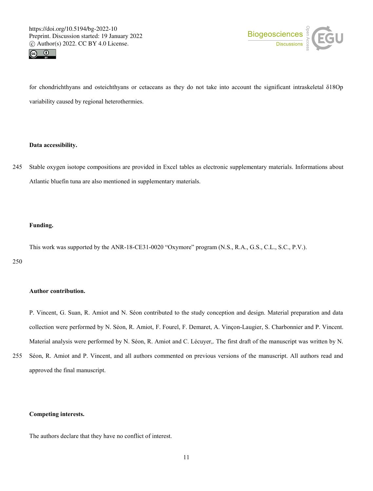



for chondrichthyans and osteichthyans or cetaceans as they do not take into account the significant intraskeletal δ18Op variability caused by regional heterothermies.

#### **Data accessibility.**

245 Stable oxygen isotope compositions are provided in Excel tables as electronic supplementary materials. Informations about Atlantic bluefin tuna are also mentioned in supplementary materials.

#### **Funding.**

This work was supported by the ANR-18-CE31-0020 "Oxymore" program (N.S., R.A., G.S., C.L., S.C., P.V.).

250

#### **Author contribution.**

P. Vincent, G. Suan, R. Amiot and N. Séon contributed to the study conception and design. Material preparation and data collection were performed by N. Séon, R. Amiot, F. Fourel, F. Demaret, A. Vinçon-Laugier, S. Charbonnier and P. Vincent. Material analysis were performed by N. Séon, R. Amiot and C. Lécuyer,. The first draft of the manuscript was written by N.

255 Séon, R. Amiot and P. Vincent, and all authors commented on previous versions of the manuscript. All authors read and approved the final manuscript.

# **Competing interests.**

The authors declare that they have no conflict of interest.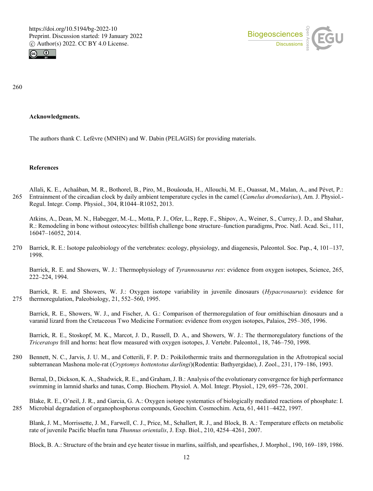



260

# **Acknowledgments.**

The authors thank C. Lefèvre (MNHN) and W. Dabin (PELAGIS) for providing materials.

#### **References**

Allali, K. E., Achaâban, M. R., Bothorel, B., Piro, M., Bouâouda, H., Allouchi, M. E., Ouassat, M., Malan, A., and Pévet, P.: 265 Entrainment of the circadian clock by daily ambient temperature cycles in the camel (*Camelus dromedarius*), Am. J. Physiol.- Regul. Integr. Comp. Physiol., 304, R1044–R1052, 2013.

Atkins, A., Dean, M. N., Habegger, M.-L., Motta, P. J., Ofer, L., Repp, F., Shipov, A., Weiner, S., Currey, J. D., and Shahar, R.: Remodeling in bone without osteocytes: billfish challenge bone structure–function paradigms, Proc. Natl. Acad. Sci., 111, 16047–16052, 2014.

270 Barrick, R. E.: Isotope paleobiology of the vertebrates: ecology, physiology, and diagenesis, Paleontol. Soc. Pap., 4, 101–137, 1998.

Barrick, R. E. and Showers, W. J.: Thermophysiology of *Tyrannosaurus rex*: evidence from oxygen isotopes, Science, 265, 222–224, 1994.

Barrick, R. E. and Showers, W. J.: Oxygen isotope variability in juvenile dinosaurs (*Hypacrosaurus*): evidence for 275 thermoregulation, Paleobiology, 21, 552–560, 1995.

Barrick, R. E., Showers, W. J., and Fischer, A. G.: Comparison of thermoregulation of four ornithischian dinosaurs and a varanid lizard from the Cretaceous Two Medicine Formation: evidence from oxygen isotopes, Palaios, 295–305, 1996.

Barrick, R. E., Stoskopf, M. K., Marcot, J. D., Russell, D. A., and Showers, W. J.: The thermoregulatory functions of the *Triceratops* frill and horns: heat flow measured with oxygen isotopes, J. Vertebr. Paleontol., 18, 746–750, 1998.

280 Bennett, N. C., Jarvis, J. U. M., and Cotterili, F. P. D.: Poikilothermic traits and thermoregulation in the Afrotropical social subterranean Mashona mole-rat (*Cryptomys hottentotus darlingi*)(Rodentia: Bathyergidae), J. Zool., 231, 179–186, 1993.

Bernal, D., Dickson, K. A., Shadwick, R. E., and Graham, J. B.: Analysis of the evolutionary convergence for high performance swimming in lamnid sharks and tunas, Comp. Biochem. Physiol. A. Mol. Integr. Physiol., 129, 695–726, 2001.

Blake, R. E., O'neil, J. R., and Garcia, G. A.: Oxygen isotope systematics of biologically mediated reactions of phosphate: I. 285 Microbial degradation of organophosphorus compounds, Geochim. Cosmochim. Acta, 61, 4411–4422, 1997.

Blank, J. M., Morrissette, J. M., Farwell, C. J., Price, M., Schallert, R. J., and Block, B. A.: Temperature effects on metabolic rate of juvenile Pacific bluefin tuna *Thunnus orientalis*, J. Exp. Biol., 210, 4254–4261, 2007.

Block, B. A.: Structure of the brain and eye heater tissue in marlins, sailfish, and spearfishes, J. Morphol., 190, 169–189, 1986.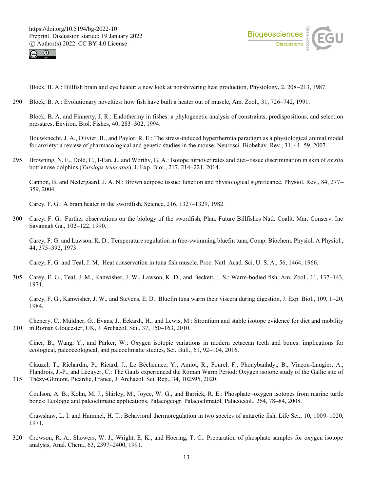



Block, B. A.: Billfish brain and eye heater: a new look at nonshivering heat production, Physiology, 2, 208–213, 1987.

290 Block, B. A.: Evolutionary novelties: how fish have built a heater out of muscle, Am. Zool., 31, 726–742, 1991.

Block, B. A. and Finnerty, J. R.: Endothermy in fishes: a phylogenetic analysis of constraints, predispositions, and selection pressures, Environ. Biol. Fishes, 40, 283–302, 1994.

Bouwknecht, J. A., Olivier, B., and Paylor, R. E.: The stress-induced hyperthermia paradigm as a physiological animal model for anxiety: a review of pharmacological and genetic studies in the mouse, Neurosci. Biobehav. Rev., 31, 41–59, 2007.

295 Browning, N. E., Dold, C., I-Fan, J., and Worthy, G. A.: Isotope turnover rates and diet–tissue discrimination in skin of *ex situ* bottlenose dolphins (*Tursiops truncatus*), J. Exp. Biol., 217, 214–221, 2014.

Cannon, B. and Nedergaard, J. A. N.: Brown adipose tissue: function and physiological significance, Physiol. Rev., 84, 277– 359, 2004.

Carey, F. G.: A brain heater in the swordfish, Science, 216, 1327–1329, 1982.

300 Carey, F. G.: Further observations on the biology of the swordfish, Plan. Future Billfishes Natl. Coalit. Mar. Conserv. Inc Savannah Ga., 102–122, 1990.

Carey, F. G. and Lawson, K. D.: Temperature regulation in free-swimming bluefin tuna, Comp. Biochem. Physiol. A Physiol., 44, 375–392, 1973.

Carey, F. G. and Teal, J. M.: Heat conservation in tuna fish muscle, Proc. Natl. Acad. Sci. U. S. A., 56, 1464, 1966.

305 Carey, F. G., Teal, J. M., Kanwisher, J. W., Lawson, K. D., and Beckett, J. S.: Warm-bodied fish, Am. Zool., 11, 137–143, 1971.

Carey, F. G., Kanwisher, J. W., and Stevens, E. D.: Bluefin tuna warm their viscera during digestion, J. Exp. Biol., 109, 1–20, 1984.

Chenery, C., Müldner, G., Evans, J., Eckardt, H., and Lewis, M.: Strontium and stable isotope evidence for diet and mobility 310 in Roman Gloucester, UK, J. Archaeol. Sci., 37, 150–163, 2010.

Ciner, B., Wang, Y., and Parker, W.: Oxygen isotopic variations in modern cetacean teeth and bones: implications for ecological, paleoecological, and paleoclimatic studies, Sci. Bull., 61, 92–104, 2016.

Clauzel, T., Richardin, P., Ricard, J., Le Béchennec, Y., Amiot, R., Fourel, F., Phouybanhdyt, B., Vinçon-Laugier, A., Flandrois, J.-P., and Lécuyer, C.: The Gauls experienced the Roman Warm Period: Oxygen isotope study of the Gallic site of 315 Thézy-Glimont, Picardie, France, J. Archaeol. Sci. Rep., 34, 102595, 2020.

Coulson, A. B., Kohn, M. J., Shirley, M., Joyce, W. G., and Barrick, R. E.: Phosphate–oxygen isotopes from marine turtle bones: Ecologic and paleoclimatic applications, Palaeogeogr. Palaeoclimatol. Palaeoecol., 264, 78–84, 2008.

Crawshaw, L. I. and Hammel, H. T.: Behavioral thermoregulation in two species of antarctic fish, Life Sci., 10, 1009–1020, 1971.

320 Crowson, R. A., Showers, W. J., Wright, E. K., and Hoering, T. C.: Preparation of phosphate samples for oxygen isotope analysis, Anal. Chem., 63, 2397–2400, 1991.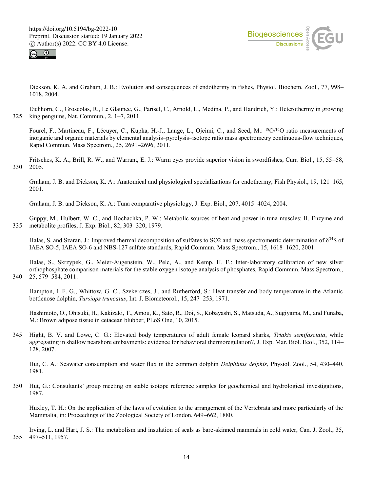



Dickson, K. A. and Graham, J. B.: Evolution and consequences of endothermy in fishes, Physiol. Biochem. Zool., 77, 998– 1018, 2004.

Eichhorn, G., Groscolas, R., Le Glaunec, G., Parisel, C., Arnold, L., Medina, P., and Handrich, Y.: Heterothermy in growing 325 king penguins, Nat. Commun., 2, 1–7, 2011.

Fourel, F., Martineau, F., Lécuyer, C., Kupka, H.-J., Lange, L., Ojeimi, C., and Seed, M.: <sup>18</sup>O/<sup>16</sup>O ratio measurements of inorganic and organic materials by elemental analysis–pyrolysis–isotope ratio mass spectrometry continuous-flow techniques, Rapid Commun. Mass Spectrom., 25, 2691–2696, 2011.

Fritsches, K. A., Brill, R. W., and Warrant, E. J.: Warm eyes provide superior vision in swordfishes, Curr. Biol., 15, 55–58, 330 2005.

Graham, J. B. and Dickson, K. A.: Anatomical and physiological specializations for endothermy, Fish Physiol., 19, 121–165, 2001.

Graham, J. B. and Dickson, K. A.: Tuna comparative physiology, J. Exp. Biol., 207, 4015–4024, 2004.

Guppy, M., Hulbert, W. C., and Hochachka, P. W.: Metabolic sources of heat and power in tuna muscles: II. Enzyme and 335 metabolite profiles, J. Exp. Biol., 82, 303–320, 1979.

Halas, S. and Szaran, J.: Improved thermal decomposition of sulfates to SO2 and mass spectrometric determination of  $\delta^{34}S$  of IAEA SO-5, IAEA SO-6 and NBS-127 sulfate standards, Rapid Commun. Mass Spectrom., 15, 1618–1620, 2001.

Halas, S., Skrzypek, G., Meier-Augenstein, W., Pelc, A., and Kemp, H. F.: Inter-laboratory calibration of new silver orthophosphate comparison materials for the stable oxygen isotope analysis of phosphates, Rapid Commun. Mass Spectrom., 340 25, 579–584, 2011.

Hampton, I. F. G., Whittow, G. C., Szekerczes, J., and Rutherford, S.: Heat transfer and body temperature in the Atlantic bottlenose dolphin, *Tursiops truncatus*, Int. J. Biometeorol., 15, 247–253, 1971.

Hashimoto, O., Ohtsuki, H., Kakizaki, T., Amou, K., Sato, R., Doi, S., Kobayashi, S., Matsuda, A., Sugiyama, M., and Funaba, M.: Brown adipose tissue in cetacean blubber, PLoS One, 10, 2015.

345 Hight, B. V. and Lowe, C. G.: Elevated body temperatures of adult female leopard sharks, *Triakis semifasciata*, while aggregating in shallow nearshore embayments: evidence for behavioral thermoregulation?, J. Exp. Mar. Biol. Ecol., 352, 114– 128, 2007.

Hui, C. A.: Seawater consumption and water flux in the common dolphin *Delphinus delphis*, Physiol. Zool., 54, 430–440, 1981.

350 Hut, G.: Consultants' group meeting on stable isotope reference samples for geochemical and hydrological investigations, 1987.

Huxley, T. H.: On the application of the laws of evolution to the arrangement of the Vertebrata and more particularly of the Mammalia, in: Proceedings of the Zoological Society of London, 649–662, 1880.

Irving, L. and Hart, J. S.: The metabolism and insulation of seals as bare-skinned mammals in cold water, Can. J. Zool., 35, 355 497–511, 1957.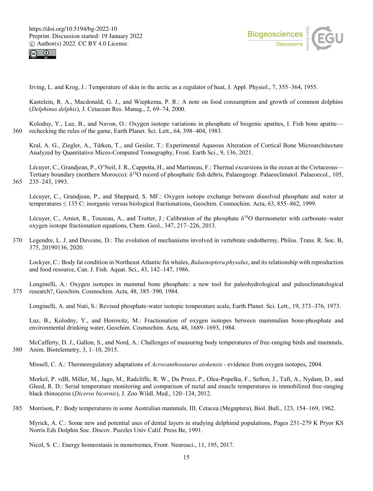



Irving, L. and Krog, J.: Temperature of skin in the arctic as a regulator of heat, J. Appl. Physiol., 7, 355–364, 1955.

Kastelein, R. A., Macdonald, G. J., and Wiepkema, P. R.: A note on food consumption and growth of common dolphins (*Delphinus delphis*), J. Cetacean Res. Manag., 2, 69–74, 2000.

Kolodny, Y., Luz, B., and Navon, O.: Oxygen isotope variations in phosphate of biogenic apatites, I. Fish bone apatite— 360 rechecking the rules of the game, Earth Planet. Sci. Lett., 64, 398–404, 1983.

Kral, A. G., Ziegler, A., Tütken, T., and Geisler, T.: Experimental Aqueous Alteration of Cortical Bone Microarchitecture Analyzed by Quantitative Micro-Computed Tomography, Front. Earth Sci., 9, 136, 2021.

Lécuyer, C., Grandjean, P., O'Neil, J. R., Cappetta, H., and Martineau, F.: Thermal excursions in the ocean at the Cretaceous— Tertiary boundary (northern Morocco):  $\delta^{18}O$  record of phosphatic fish debris, Palaeogeogr. Palaeoclimatol. Palaeoecol., 105, 365 235–243, 1993.

Lécuyer, C., Grandjean, P., and Sheppard, S. MF.: Oxygen isotope exchange between dissolved phosphate and water at temperatures ≤ 135 C: inorganic versus biological fractionations, Geochim. Cosmochim. Acta, 63, 855–862, 1999.

Lécuyer, C., Amiot, R., Touzeau, A., and Trotter, J.: Calibration of the phosphate δ<sup>18</sup>O thermometer with carbonate–water oxygen isotope fractionation equations, Chem. Geol., 347, 217–226, 2013.

370 Legendre, L. J. and Davesne, D.: The evolution of mechanisms involved in vertebrate endothermy, Philos. Trans. R. Soc. B, 375, 20190136, 2020.

Lockyer, C.: Body fat condition in Northeast Atlantic fin whales, *Balaenoptera physalus*, and its relationship with reproduction and food resource, Can. J. Fish. Aquat. Sci., 43, 142–147, 1986.

Longinelli, A.: Oxygen isotopes in mammal bone phosphate: a new tool for paleohydrological and paleoclimatological 375 research?, Geochim. Cosmochim. Acta, 48, 385–390, 1984.

Longinelli, A. and Nuti, S.: Revised phosphate-water isotopic temperature scale, Earth Planet. Sci. Lett., 19, 373–376, 1973.

Luz, B., Kolodny, Y., and Horowitz, M.: Fractionation of oxygen isotopes between mammalian bone-phosphate and environmental drinking water, Geochim. Cosmochim. Acta, 48, 1689–1693, 1984.

McCafferty, D. J., Gallon, S., and Nord, A.: Challenges of measuring body temperatures of free-ranging birds and mammals, 380 Anim. Biotelemetry, 3, 1–10, 2015.

Missell, C. A.: Thermoregulatory adaptations of *Acrocanthosaurus atokensis* - evidence from oxygen isotopes, 2004.

Morkel, P. vdB, Miller, M., Jago, M., Radcliffe, R. W., Du Preez, P., Olea-Popelka, F., Sefton, J., Taft, A., Nydam, D., and Gleed, R. D.: Serial temperature monitoring and comparison of rectal and muscle temperatures in immobilized free-ranging black rhinoceros (*Diceros bicornis*), J. Zoo Wildl. Med., 120–124, 2012.

385 Morrison, P.: Body temperatures in some Australian mammals. III. Cetacea (Megaptera), Biol. Bull., 123, 154–169, 1962.

Myrick, A. C.: Some new and potential uses of dental layers in studying delphinid populations, Pages 251-279 K Pryor KS Norris Eds Dolphin Soc. Discov. Puzzles Univ Calif. Press Be, 1991.

Nicol, S. C.: Energy homeostasis in monotremes, Front. Neurosci., 11, 195, 2017.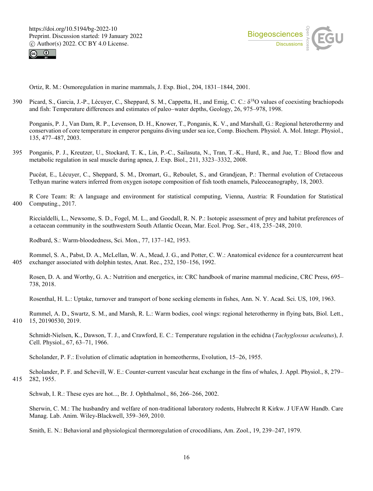



Ortiz, R. M.: Osmoregulation in marine mammals, J. Exp. Biol., 204, 1831–1844, 2001.

390 Picard, S., Garcia, J.-P., Lécuyer, C., Sheppard, S. M., Cappetta, H., and Emig, C. C.:  $\delta^{18}$ O values of coexisting brachiopods and fish: Temperature differences and estimates of paleo–water depths, Geology, 26, 975–978, 1998.

Ponganis, P. J., Van Dam, R. P., Levenson, D. H., Knower, T., Ponganis, K. V., and Marshall, G.: Regional heterothermy and conservation of core temperature in emperor penguins diving under sea ice, Comp. Biochem. Physiol. A. Mol. Integr. Physiol., 135, 477–487, 2003.

395 Ponganis, P. J., Kreutzer, U., Stockard, T. K., Lin, P.-C., Sailasuta, N., Tran, T.-K., Hurd, R., and Jue, T.: Blood flow and metabolic regulation in seal muscle during apnea, J. Exp. Biol., 211, 3323–3332, 2008.

Pucéat, E., Lécuyer, C., Sheppard, S. M., Dromart, G., Reboulet, S., and Grandjean, P.: Thermal evolution of Cretaceous Tethyan marine waters inferred from oxygen isotope composition of fish tooth enamels, Paleoceanography, 18, 2003.

R Core Team: R: A language and environment for statistical computing, Vienna, Austria: R Foundation for Statistical 400 Computing., 2017.

Riccialdelli, L., Newsome, S. D., Fogel, M. L., and Goodall, R. N. P.: Isotopic assessment of prey and habitat preferences of a cetacean community in the southwestern South Atlantic Ocean, Mar. Ecol. Prog. Ser., 418, 235–248, 2010.

Rodbard, S.: Warm-bloodedness, Sci. Mon., 77, 137–142, 1953.

Rommel, S. A., Pabst, D. A., McLellan, W. A., Mead, J. G., and Potter, C. W.: Anatomical evidence for a countercurrent heat 405 exchanger associated with dolphin testes, Anat. Rec., 232, 150–156, 1992.

Rosen, D. A. and Worthy, G. A.: Nutrition and energetics, in: CRC handbook of marine mammal medicine, CRC Press, 695– 738, 2018.

Rosenthal, H. L.: Uptake, turnover and transport of bone seeking elements in fishes, Ann. N. Y. Acad. Sci. US, 109, 1963.

Rummel, A. D., Swartz, S. M., and Marsh, R. L.: Warm bodies, cool wings: regional heterothermy in flying bats, Biol. Lett., 410 15, 20190530, 2019.

Schmidt-Nielsen, K., Dawson, T. J., and Crawford, E. C.: Temperature regulation in the echidna (*Tachyglossus aculeatus*), J. Cell. Physiol., 67, 63–71, 1966.

Scholander, P. F.: Evolution of climatic adaptation in homeotherms, Evolution, 15–26, 1955.

Scholander, P. F. and Schevill, W. E.: Counter-current vascular heat exchange in the fins of whales, J. Appl. Physiol., 8, 279– 415 282, 1955.

Schwab, I. R.: These eyes are hot..., Br. J. Ophthalmol., 86, 266–266, 2002.

Sherwin, C. M.: The husbandry and welfare of non-traditional laboratory rodents, Hubrecht R Kirkw. J UFAW Handb. Care Manag. Lab. Anim. Wiley-Blackwell, 359–369, 2010.

Smith, E. N.: Behavioral and physiological thermoregulation of crocodilians, Am. Zool., 19, 239–247, 1979.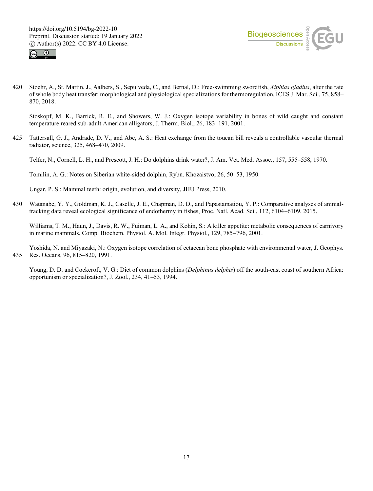



420 Stoehr, A., St. Martin, J., Aalbers, S., Sepulveda, C., and Bernal, D.: Free-swimming swordfish, *Xiphias gladius*, alter the rate of whole body heat transfer: morphological and physiological specializations for thermoregulation, ICES J. Mar. Sci., 75, 858– 870, 2018.

Stoskopf, M. K., Barrick, R. E., and Showers, W. J.: Oxygen isotope variability in bones of wild caught and constant temperature reared sub-adult American alligators, J. Therm. Biol., 26, 183–191, 2001.

425 Tattersall, G. J., Andrade, D. V., and Abe, A. S.: Heat exchange from the toucan bill reveals a controllable vascular thermal radiator, science, 325, 468–470, 2009.

Telfer, N., Cornell, L. H., and Prescott, J. H.: Do dolphins drink water?, J. Am. Vet. Med. Assoc., 157, 555–558, 1970.

Tomilin, A. G.: Notes on Siberian white-sided dolphin, Rybn. Khozaistvo, 26, 50–53, 1950.

Ungar, P. S.: Mammal teeth: origin, evolution, and diversity, JHU Press, 2010.

430 Watanabe, Y. Y., Goldman, K. J., Caselle, J. E., Chapman, D. D., and Papastamatiou, Y. P.: Comparative analyses of animaltracking data reveal ecological significance of endothermy in fishes, Proc. Natl. Acad. Sci., 112, 6104–6109, 2015.

Williams, T. M., Haun, J., Davis, R. W., Fuiman, L. A., and Kohin, S.: A killer appetite: metabolic consequences of carnivory in marine mammals, Comp. Biochem. Physiol. A. Mol. Integr. Physiol., 129, 785–796, 2001.

Yoshida, N. and Miyazaki, N.: Oxygen isotope correlation of cetacean bone phosphate with environmental water, J. Geophys. 435 Res. Oceans, 96, 815–820, 1991.

Young, D. D. and Cockcroft, V. G.: Diet of common dolphins (*Delphinus delphis*) off the south-east coast of southern Africa: opportunism or specialization?, J. Zool., 234, 41–53, 1994.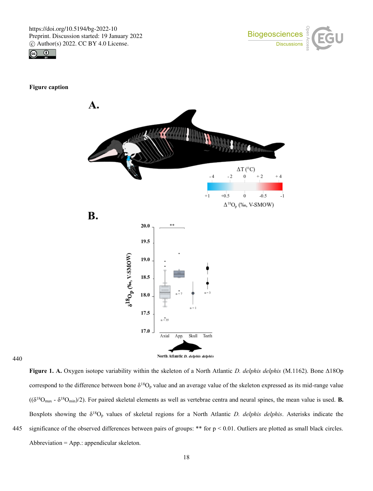



## **Figure caption**



440

**Figure 1. A.** Oxygen isotope variability within the skeleton of a North Atlantic *D. delphis delphis* (M.1162). Bone Δ18Op correspond to the difference between bone  $\delta^{18}O_p$  value and an average value of the skeleton expressed as its mid-range value  $((\delta^{18}O_{\text{max}} \cdot \delta^{18}O_{\text{min}})/2)$ . For paired skeletal elements as well as vertebrae centra and neural spines, the mean value is used. **B.** Boxplots showing the δ<sup>18</sup>O<sup>p</sup> values of skeletal regions for a North Atlantic *D. delphis delphis*. Asterisks indicate the 445 significance of the observed differences between pairs of groups: \*\* for  $p < 0.01$ . Outliers are plotted as small black circles. Abbreviation = App.: appendicular skeleton.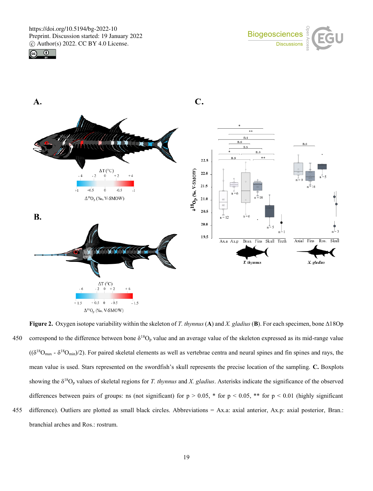





**Figure 2.** Oxygen isotope variability within the skeleton of *T. thynnus* (**A**) and *X. gladius* (**B**). For each specimen, bone Δ18Op 450 correspond to the difference between bone  $\delta^{18}O_p$  value and an average value of the skeleton expressed as its mid-range value  $((\delta^{18}O_{max} - \delta^{18}O_{min})/2)$ . For paired skeletal elements as well as vertebrae centra and neural spines and fin spines and rays, the mean value is used. Stars represented on the swordfish's skull represents the precise location of the sampling. **C.** Boxplots showing the δ<sup>18</sup>O<sup>p</sup> values of skeletal regions for *T. thynnus* and *X. gladius*. Asterisks indicate the significance of the observed differences between pairs of groups: ns (not significant) for  $p > 0.05$ , \* for  $p < 0.05$ , \*\* for  $p < 0.01$  (highly significant 455 difference). Outliers are plotted as small black circles. Abbreviations = Ax.a: axial anterior, Ax.p: axial posterior, Bran.: branchial arches and Ros.: rostrum.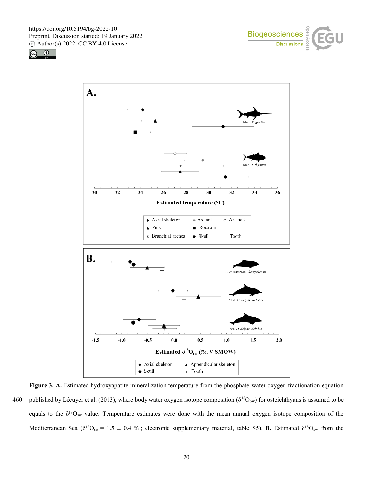





**Figure 3. A.** Estimated hydroxyapatite mineralization temperature from the phosphate-water oxygen fractionation equation 460 published by Lécuyer et al. (2013), where body water oxygen isotope composition ( $\delta^{18}O_{bw}$ ) for osteichthyans is assumed to be equals to the  $\delta^{18}O_{\text{sw}}$  value. Temperature estimates were done with the mean annual oxygen isotope composition of the Mediterranean Sea ( $\delta^{18}O_{sw} = 1.5 \pm 0.4$  ‰; electronic supplementary material, table S5). **B.** Estimated  $\delta^{18}O_{sw}$  from the